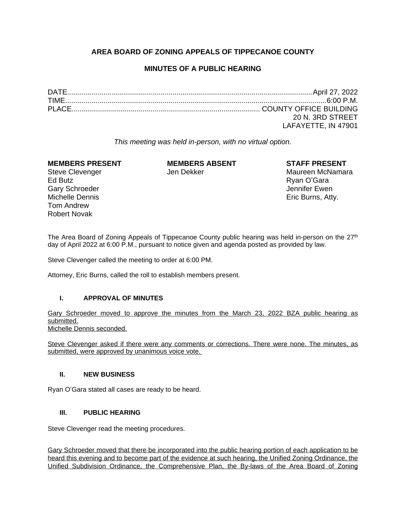# **AREA BOARD OF ZONING APPEALS OF TIPPECANOE COUNTY**

# **MINUTES OF A PUBLIC HEARING**

| 20 N. 3RD STREET    |
|---------------------|
| LAFAYETTE, IN 47901 |

*This meeting was held in-person, with no virtual option.*

# **MEMBERS PRESENT MEMBERS ABSENT STAFF PRESENT**

Ed Butz Ryan O'Gara Gary Schroeder **Gary Schroeder** Jennifer Ewen Michelle Dennis Eric Burns, Atty. Tom Andrew Robert Novak

Steve Clevenger The Steve Clevenger Clevenger Maureen McNamara

The Area Board of Zoning Appeals of Tippecanoe County public hearing was held in-person on the 27<sup>th</sup> day of April 2022 at 6:00 P.M., pursuant to notice given and agenda posted as provided by law.

Steve Clevenger called the meeting to order at 6:00 PM.

Attorney, Eric Burns, called the roll to establish members present.

# **I. APPROVAL OF MINUTES**

Gary Schroeder moved to approve the minutes from the March 23, 2022 BZA public hearing as submitted.

Michelle Dennis seconded.

Steve Clevenger asked if there were any comments or corrections. There were none. The minutes, as submitted, were approved by unanimous voice vote.

# **II. NEW BUSINESS**

Ryan O'Gara stated all cases are ready to be heard.

# **III. PUBLIC HEARING**

Steve Clevenger read the meeting procedures.

Gary Schroeder moved that there be incorporated into the public hearing portion of each application to be heard this evening and to become part of the evidence at such hearing, the Unified Zoning Ordinance, the Unified Subdivision Ordinance, the Comprehensive Plan, the By-laws of the Area Board of Zoning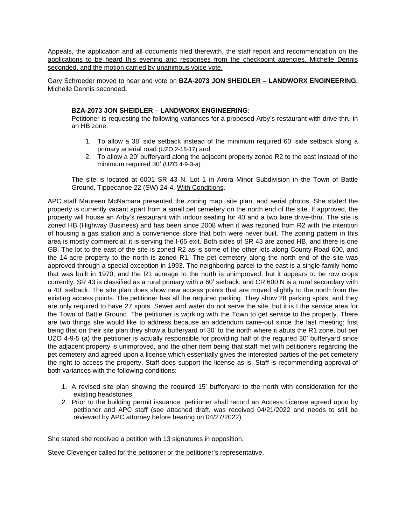Appeals, the application and all documents filed therewith, the staff report and recommendation on the applications to be heard this evening and responses from the checkpoint agencies. Michelle Dennis seconded, and the motion carried by unanimous voice vote.

Gary Schroeder moved to hear and vote on **BZA-2073 JON SHEIDLER – LANDWORX ENGINEERING.** Michelle Dennis seconded**.**

## **BZA-2073 JON SHEIDLER – LANDWORX ENGINEERING:**

Petitioner is requesting the following variances for a proposed Arby's restaurant with drive-thru in an HB zone:

- 1. To allow a 38' side setback instead of the minimum required 60' side setback along a primary arterial road (UZO 2-18-17) and
- 2. To allow a 20' bufferyard along the adjacent property zoned R2 to the east instead of the minimum required 30' (UZO 4-9-3-a).

The site is located at 6001 SR 43 N, Lot 1 in Arora Minor Subdivision in the Town of Battle Ground, Tippecanoe 22 (SW) 24-4. With Conditions.

APC staff Maureen McNamara presented the zoning map, site plan, and aerial photos. She stated the property is currently vacant apart from a small pet cemetery on the north end of the site. If approved, the property will house an Arby's restaurant with indoor seating for 40 and a two lane drive-thru. The site is zoned HB (Highway Business) and has been since 2008 when it was rezoned from R2 with the intention of housing a gas station and a convenience store that both were never built. The zoning pattern in this area is mostly commercial; it is serving the I-65 exit. Both sides of SR 43 are zoned HB, and there is one GB. The lot to the east of the site is zoned R2 as-is some of the other lots along County Road 600, and the 14-acre property to the north is zoned R1. The pet cemetery along the north end of the site was approved through a special exception in 1993. The neighboring parcel to the east is a single-family home that was built in 1970, and the R1 acreage to the north is unimproved, but it appears to be row crops currently. SR 43 is classified as a rural primary with a 60' setback, and CR 600 N is a rural secondary with a 40' setback. The site plan does show new access points that are moved slightly to the north from the existing access points. The petitioner has all the required parking. They show 28 parking spots, and they are only required to have 27 spots. Sewer and water do not serve the site, but it is I the service area for the Town of Battle Ground. The petitioner is working with the Town to get service to the property. There are two things she would like to address because an addendum came-out since the last meeting; first being that on their site plan they show a bufferyard of 30' to the north where it abuts the R1 zone, but per UZO 4-9-5 (a) the petitioner is actually responsible for providing half of the required 30' bufferyard since the adjacent property is unimproved, and the other item being that staff met with petitioners regarding the pet cemetery and agreed upon a license which essentially gives the interested parties of the pet cemetery the right to access the property. Staff does support the license as-is. Staff is recommending approval of both variances with the following conditions:

- 1. A revised site plan showing the required 15' bufferyard to the north with consideration for the existing headstones.
- 2. Prior to the building permit issuance, petitioner shall record an Access License agreed upon by petitioner and APC staff (see attached draft, was received 04/21/2022 and needs to still be reviewed by APC attorney before hearing on 04/27/2022).

She stated she received a petition with 13 signatures in opposition.

Steve Clevenger called for the petitioner or the petitioner's representative.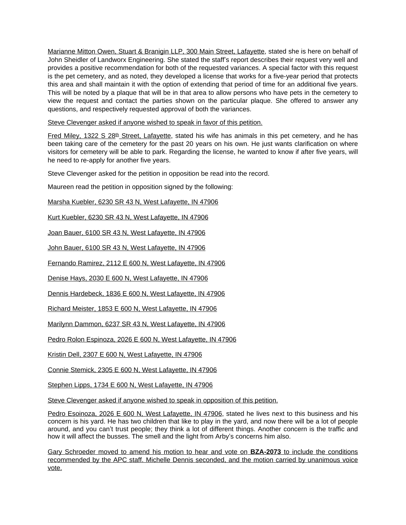Marianne Mitton Owen, Stuart & Branigin LLP, 300 Main Street, Lafayette, stated she is here on behalf of John Sheidler of Landworx Engineering. She stated the staff's report describes their request very well and provides a positive recommendation for both of the requested variances. A special factor with this request is the pet cemetery, and as noted, they developed a license that works for a five-year period that protects this area and shall maintain it with the option of extending that period of time for an additional five years. This will be noted by a plaque that will be in that area to allow persons who have pets in the cemetery to view the request and contact the parties shown on the particular plaque. She offered to answer any questions, and respectively requested approval of both the variances.

Steve Clevenger asked if anyone wished to speak in favor of this petition.

Fred Miley, 1322 S 28<sup>th</sup> Street, Lafayette, stated his wife has animals in this pet cemetery, and he has been taking care of the cemetery for the past 20 years on his own. He just wants clarification on where visitors for cemetery will be able to park. Regarding the license, he wanted to know if after five years, will he need to re-apply for another five years.

Steve Clevenger asked for the petition in opposition be read into the record.

Maureen read the petition in opposition signed by the following:

Marsha Kuebler, 6230 SR 43 N, West Lafayette, IN 47906

Kurt Kuebler, 6230 SR 43 N, West Lafayette, IN 47906

Joan Bauer, 6100 SR 43 N, West Lafayette, IN 47906

John Bauer, 6100 SR 43 N, West Lafayette, IN 47906

Fernando Ramirez, 2112 E 600 N, West Lafayette, IN 47906

Denise Hays, 2030 E 600 N, West Lafayette, IN 47906

Dennis Hardebeck, 1836 E 600 N, West Lafayette, IN 47906

Richard Meister, 1853 E 600 N, West Lafayette, IN 47906

Marilynn Dammon, 6237 SR 43 N, West Lafayette, IN 47906

Pedro Rolon Espinoza, 2026 E 600 N, West Lafayette, IN 47906

Kristin Dell, 2307 E 600 N, West Lafayette, IN 47906

Connie Stemick, 2305 E 600 N, West Lafayette, IN 47906

Stephen Lipps, 1734 E 600 N, West Lafayette, IN 47906

Steve Clevenger asked if anyone wished to speak in opposition of this petition.

Pedro Esoinoza, 2026 E 600 N, West Lafayette, IN 47906, stated he lives next to this business and his concern is his yard. He has two children that like to play in the yard, and now there will be a lot of people around, and you can't trust people; they think a lot of different things. Another concern is the traffic and how it will affect the busses. The smell and the light from Arby's concerns him also.

Gary Schroeder moved to amend his motion to hear and vote on **BZA-2073** to include the conditions recommended by the APC staff. Michelle Dennis seconded, and the motion carried by unanimous voice vote.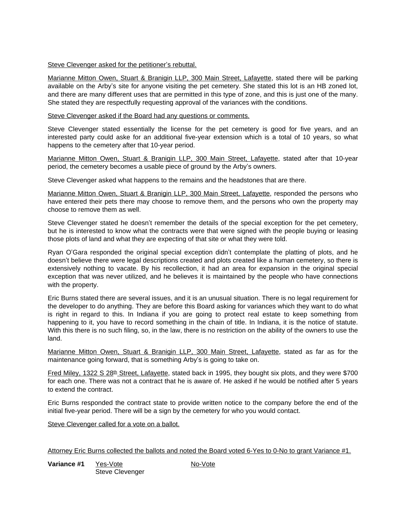### Steve Clevenger asked for the petitioner's rebuttal.

Marianne Mitton Owen, Stuart & Branigin LLP, 300 Main Street, Lafayette, stated there will be parking available on the Arby's site for anyone visiting the pet cemetery. She stated this lot is an HB zoned lot, and there are many different uses that are permitted in this type of zone, and this is just one of the many. She stated they are respectfully requesting approval of the variances with the conditions.

### Steve Clevenger asked if the Board had any questions or comments.

Steve Clevenger stated essentially the license for the pet cemetery is good for five years, and an interested party could aske for an additional five-year extension which is a total of 10 years, so what happens to the cemetery after that 10-year period.

Marianne Mitton Owen, Stuart & Branigin LLP, 300 Main Street, Lafayette, stated after that 10-year period, the cemetery becomes a usable piece of ground by the Arby's owners.

Steve Clevenger asked what happens to the remains and the headstones that are there.

Marianne Mitton Owen, Stuart & Branigin LLP, 300 Main Street, Lafayette, responded the persons who have entered their pets there may choose to remove them, and the persons who own the property may choose to remove them as well.

Steve Clevenger stated he doesn't remember the details of the special exception for the pet cemetery, but he is interested to know what the contracts were that were signed with the people buying or leasing those plots of land and what they are expecting of that site or what they were told.

Ryan O'Gara responded the original special exception didn't contemplate the platting of plots, and he doesn't believe there were legal descriptions created and plots created like a human cemetery, so there is extensively nothing to vacate. By his recollection, it had an area for expansion in the original special exception that was never utilized, and he believes it is maintained by the people who have connections with the property.

Eric Burns stated there are several issues, and it is an unusual situation. There is no legal requirement for the developer to do anything. They are before this Board asking for variances which they want to do what is right in regard to this. In Indiana if you are going to protect real estate to keep something from happening to it, you have to record something in the chain of title. In Indiana, it is the notice of statute. With this there is no such filing, so, in the law, there is no restriction on the ability of the owners to use the land.

Marianne Mitton Owen, Stuart & Branigin LLP, 300 Main Street, Lafayette, stated as far as for the maintenance going forward, that is something Arby's is going to take on.

Fred Miley, 1322 S 28<sup>th</sup> Street, Lafayette, stated back in 1995, they bought six plots, and they were \$700 for each one. There was not a contract that he is aware of. He asked if he would be notified after 5 years to extend the contract.

Eric Burns responded the contract state to provide written notice to the company before the end of the initial five-year period. There will be a sign by the cemetery for who you would contact.

Steve Clevenger called for a vote on a ballot.

Attorney Eric Burns collected the ballots and noted the Board voted 6-Yes to 0-No to grant Variance #1.

**Variance #1** Yes-Vote No-Vote Steve Clevenger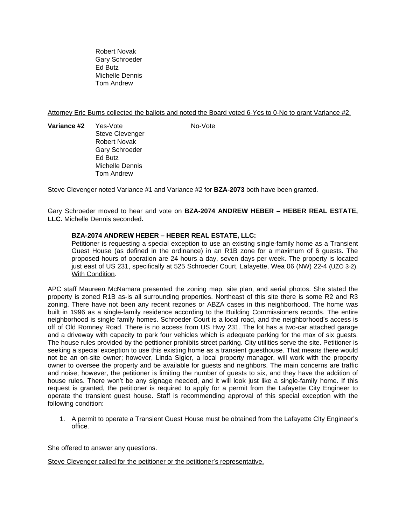Robert Novak Gary Schroeder Ed Butz Michelle Dennis Tom Andrew

Attorney Eric Burns collected the ballots and noted the Board voted 6-Yes to 0-No to grant Variance #2.

**Variance #2** Yes-Vote No-Vote Steve Clevenger Robert Novak Gary Schroeder Ed Butz Michelle Dennis Tom Andrew

Steve Clevenger noted Variance #1 and Variance #2 for **BZA-2073** both have been granted.

## Gary Schroeder moved to hear and vote on **BZA-2074 ANDREW HEBER – HEBER REAL ESTATE, LLC.** Michelle Dennis seconded**.**

### **BZA-2074 ANDREW HEBER – HEBER REAL ESTATE, LLC:**

Petitioner is requesting a special exception to use an existing single-family home as a Transient Guest House (as defined in the ordinance) in an R1B zone for a maximum of 6 guests. The proposed hours of operation are 24 hours a day, seven days per week. The property is located just east of US 231, specifically at 525 Schroeder Court, Lafayette, Wea 06 (NW) 22-4 (UZO 3-2). With Condition.

APC staff Maureen McNamara presented the zoning map, site plan, and aerial photos. She stated the property is zoned R1B as-is all surrounding properties. Northeast of this site there is some R2 and R3 zoning. There have not been any recent rezones or ABZA cases in this neighborhood. The home was built in 1996 as a single-family residence according to the Building Commissioners records. The entire neighborhood is single family homes. Schroeder Court is a local road, and the neighborhood's access is off of Old Romney Road. There is no access from US Hwy 231. The lot has a two-car attached garage and a driveway with capacity to park four vehicles which is adequate parking for the max of six guests. The house rules provided by the petitioner prohibits street parking. City utilities serve the site. Petitioner is seeking a special exception to use this existing home as a transient guesthouse. That means there would not be an on-site owner; however, Linda Sigler, a local property manager, will work with the property owner to oversee the property and be available for guests and neighbors. The main concerns are traffic and noise; however, the petitioner is limiting the number of guests to six, and they have the addition of house rules. There won't be any signage needed, and it will look just like a single-family home. If this request is granted, the petitioner is required to apply for a permit from the Lafayette City Engineer to operate the transient guest house. Staff is recommending approval of this special exception with the following condition:

1. A permit to operate a Transient Guest House must be obtained from the Lafayette City Engineer's office.

She offered to answer any questions.

Steve Clevenger called for the petitioner or the petitioner's representative.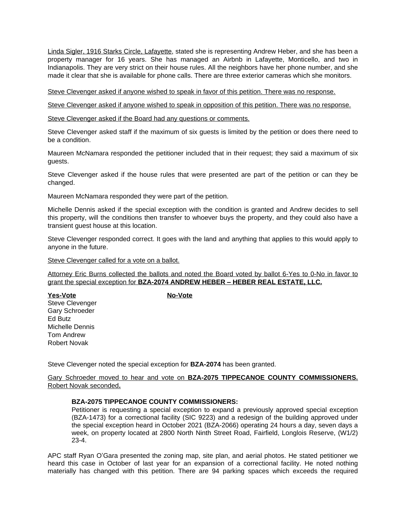Linda Sigler, 1916 Starks Circle, Lafayette, stated she is representing Andrew Heber, and she has been a property manager for 16 years. She has managed an Airbnb in Lafayette, Monticello, and two in Indianapolis. They are very strict on their house rules. All the neighbors have her phone number, and she made it clear that she is available for phone calls. There are three exterior cameras which she monitors.

Steve Clevenger asked if anyone wished to speak in favor of this petition. There was no response.

Steve Clevenger asked if anyone wished to speak in opposition of this petition. There was no response.

Steve Clevenger asked if the Board had any questions or comments.

Steve Clevenger asked staff if the maximum of six guests is limited by the petition or does there need to be a condition.

Maureen McNamara responded the petitioner included that in their request; they said a maximum of six guests.

Steve Clevenger asked if the house rules that were presented are part of the petition or can they be changed.

Maureen McNamara responded they were part of the petition.

Michelle Dennis asked if the special exception with the condition is granted and Andrew decides to sell this property, will the conditions then transfer to whoever buys the property, and they could also have a transient guest house at this location.

Steve Clevenger responded correct. It goes with the land and anything that applies to this would apply to anyone in the future.

Steve Clevenger called for a vote on a ballot.

Attorney Eric Burns collected the ballots and noted the Board voted by ballot 6-Yes to 0-No in favor to grant the special exception for **BZA-2074 ANDREW HEBER – HEBER REAL ESTATE, LLC.**

**Yes-Vote No-Vote** Steve Clevenger Gary Schroeder Ed Butz Michelle Dennis Tom Andrew Robert Novak

Steve Clevenger noted the special exception for **BZA-2074** has been granted.

Gary Schroeder moved to hear and vote on **BZA-2075 TIPPECANOE COUNTY COMMISSIONERS.** Robert Novak seconded**.**

## **BZA-2075 TIPPECANOE COUNTY COMMISSIONERS:**

Petitioner is requesting a special exception to expand a previously approved special exception (BZA-1473) for a correctional facility (SIC 9223) and a redesign of the building approved under the special exception heard in October 2021 (BZA-2066) operating 24 hours a day, seven days a week, on property located at 2800 North Ninth Street Road, Fairfield, Longlois Reserve, (W1/2) 23-4.

APC staff Ryan O'Gara presented the zoning map, site plan, and aerial photos. He stated petitioner we heard this case in October of last year for an expansion of a correctional facility. He noted nothing materially has changed with this petition. There are 94 parking spaces which exceeds the required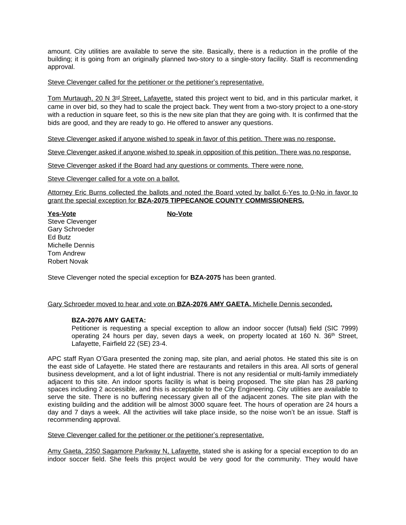amount. City utilities are available to serve the site. Basically, there is a reduction in the profile of the building; it is going from an originally planned two-story to a single-story facility. Staff is recommending approval.

### Steve Clevenger called for the petitioner or the petitioner's representative.

Tom Murtaugh, 20 N 3<sup>rd</sup> Street, Lafayette, stated this project went to bid, and in this particular market, it came in over bid, so they had to scale the project back. They went from a two-story project to a one-story with a reduction in square feet, so this is the new site plan that they are going with. It is confirmed that the bids are good, and they are ready to go. He offered to answer any questions.

Steve Clevenger asked if anyone wished to speak in favor of this petition. There was no response.

Steve Clevenger asked if anyone wished to speak in opposition of this petition. There was no response.

Steve Clevenger asked if the Board had any questions or comments. There were none.

Steve Clevenger called for a vote on a ballot.

Attorney Eric Burns collected the ballots and noted the Board voted by ballot 6-Yes to 0-No in favor to grant the special exception for **BZA-2075 TIPPECANOE COUNTY COMMISSIONERS.**

**Yes-Vote No-Vote** Steve Clevenger Gary Schroeder Ed Butz Michelle Dennis Tom Andrew Robert Novak

Steve Clevenger noted the special exception for **BZA-2075** has been granted.

### Gary Schroeder moved to hear and vote on **BZA-2076 AMY GAETA.** Michelle Dennis seconded**.**

### **BZA-2076 AMY GAETA:**

Petitioner is requesting a special exception to allow an indoor soccer (futsal) field (SIC 7999) operating 24 hours per day, seven days a week, on property located at 160 N. 36th Street, Lafayette, Fairfield 22 (SE) 23-4.

APC staff Ryan O'Gara presented the zoning map, site plan, and aerial photos. He stated this site is on the east side of Lafayette. He stated there are restaurants and retailers in this area. All sorts of general business development, and a lot of light industrial. There is not any residential or multi-family immediately adjacent to this site. An indoor sports facility is what is being proposed. The site plan has 28 parking spaces including 2 accessible, and this is acceptable to the City Engineering. City utilities are available to serve the site. There is no buffering necessary given all of the adjacent zones. The site plan with the existing building and the addition will be almost 3000 square feet. The hours of operation are 24 hours a day and 7 days a week. All the activities will take place inside, so the noise won't be an issue. Staff is recommending approval.

Steve Clevenger called for the petitioner or the petitioner's representative.

Amy Gaeta, 2350 Sagamore Parkway N, Lafayette, stated she is asking for a special exception to do an indoor soccer field. She feels this project would be very good for the community. They would have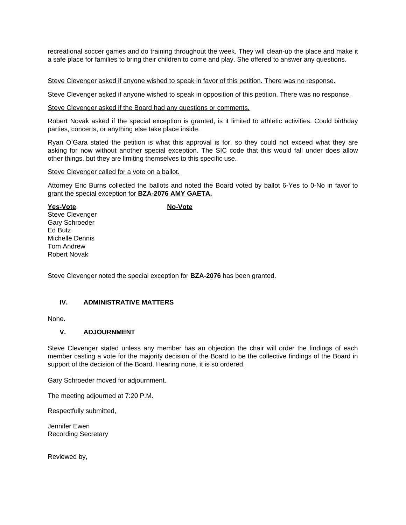recreational soccer games and do training throughout the week. They will clean-up the place and make it a safe place for families to bring their children to come and play. She offered to answer any questions.

Steve Clevenger asked if anyone wished to speak in favor of this petition. There was no response.

Steve Clevenger asked if anyone wished to speak in opposition of this petition. There was no response.

Steve Clevenger asked if the Board had any questions or comments.

Robert Novak asked if the special exception is granted, is it limited to athletic activities. Could birthday parties, concerts, or anything else take place inside.

Ryan O'Gara stated the petition is what this approval is for, so they could not exceed what they are asking for now without another special exception. The SIC code that this would fall under does allow other things, but they are limiting themselves to this specific use.

Steve Clevenger called for a vote on a ballot.

Attorney Eric Burns collected the ballots and noted the Board voted by ballot 6-Yes to 0-No in favor to grant the special exception for **BZA-2076 AMY GAETA.**

**Yes-Vote No-Vote** Steve Clevenger Gary Schroeder Ed Butz Michelle Dennis Tom Andrew Robert Novak

Steve Clevenger noted the special exception for **BZA-2076** has been granted.

# **IV. ADMINISTRATIVE MATTERS**

None.

# **V. ADJOURNMENT**

Steve Clevenger stated unless any member has an objection the chair will order the findings of each member casting a vote for the majority decision of the Board to be the collective findings of the Board in support of the decision of the Board. Hearing none, it is so ordered.

Gary Schroeder moved for adjournment.

The meeting adjourned at 7:20 P.M.

Respectfully submitted,

Jennifer Ewen Recording Secretary

Reviewed by,